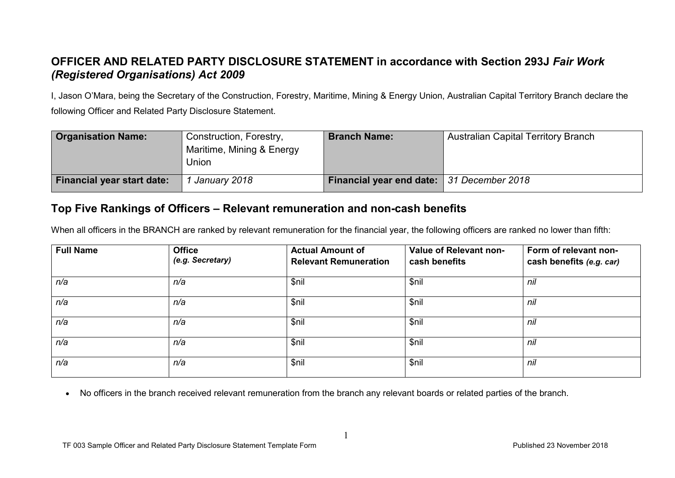## **OFFICER AND RELATED PARTY DISCLOSURE STATEMENT in accordance with Section 293J** *Fair Work (Registered Organisations) Act 2009*

I, Jason O'Mara, being the Secretary of the Construction, Forestry, Maritime, Mining & Energy Union, Australian Capital Territory Branch declare the following Officer and Related Party Disclosure Statement.

| <b>Organisation Name:</b>         | Construction, Forestry,<br>Maritime, Mining & Energy<br>Union | <b>Branch Name:</b>                       | <b>Australian Capital Territory Branch</b> |
|-----------------------------------|---------------------------------------------------------------|-------------------------------------------|--------------------------------------------|
| <b>Financial year start date:</b> | January 2018                                                  | Financial year end date: 31 December 2018 |                                            |

## **Top Five Rankings of Officers – Relevant remuneration and non-cash benefits**

When all officers in the BRANCH are ranked by relevant remuneration for the financial year, the following officers are ranked no lower than fifth:

| <b>Full Name</b> | <b>Office</b><br>(e.g. Secretary) | <b>Actual Amount of</b><br><b>Relevant Remuneration</b> | Value of Relevant non-<br>cash benefits | Form of relevant non-<br>cash benefits (e.g. car) |
|------------------|-----------------------------------|---------------------------------------------------------|-----------------------------------------|---------------------------------------------------|
| n/a              | n/a                               | \$nil                                                   | \$nil                                   | nil                                               |
| n/a              | n/a                               | \$nil                                                   | \$nil                                   | nil                                               |
| n/a              | n/a                               | \$nil                                                   | \$nil                                   | nil                                               |
| n/a              | n/a                               | \$nil                                                   | \$nil                                   | nil                                               |
| n/a              | n/a                               | \$nil                                                   | \$nil                                   | nil                                               |

• No officers in the branch received relevant remuneration from the branch any relevant boards or related parties of the branch.

1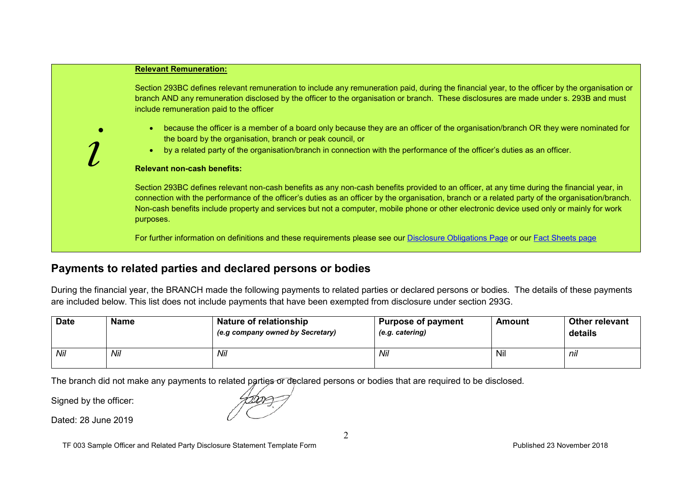| <b>Relevant Remuneration:</b>                                                                                                                                                                                                                                                                                                                                                                                                                            |
|----------------------------------------------------------------------------------------------------------------------------------------------------------------------------------------------------------------------------------------------------------------------------------------------------------------------------------------------------------------------------------------------------------------------------------------------------------|
| Section 293BC defines relevant remuneration to include any remuneration paid, during the financial year, to the officer by the organisation or<br>branch AND any remuneration disclosed by the officer to the organisation or branch. These disclosures are made under s. 293B and must<br>include remuneration paid to the officer                                                                                                                      |
| because the officer is a member of a board only because they are an officer of the organisation/branch OR they were nominated for<br>$\bullet$<br>the board by the organisation, branch or peak council, or<br>by a related party of the organisation/branch in connection with the performance of the officer's duties as an officer.<br>$\bullet$                                                                                                      |
| <b>Relevant non-cash benefits:</b>                                                                                                                                                                                                                                                                                                                                                                                                                       |
| Section 293BC defines relevant non-cash benefits as any non-cash benefits provided to an officer, at any time during the financial year, in<br>connection with the performance of the officer's duties as an officer by the organisation, branch or a related party of the organisation/branch.<br>Non-cash benefits include property and services but not a computer, mobile phone or other electronic device used only or mainly for work<br>purposes. |
| For further information on definitions and these requirements please see our Disclosure Obligations Page or our Fact Sheets page                                                                                                                                                                                                                                                                                                                         |

## **Payments to related parties and declared persons or bodies**

During the financial year, the BRANCH made the following payments to related parties or declared persons or bodies. The details of these payments are included below. This list does not include payments that have been exempted from disclosure under section 293G.

| <b>Date</b> | <b>Name</b> | Nature of relationship<br>(e.g company owned by Secretary) | <b>Purpose of payment</b><br>(e.g. catering) | Amount | Other relevant<br>details |
|-------------|-------------|------------------------------------------------------------|----------------------------------------------|--------|---------------------------|
| Nil         | Nil         | Nil                                                        | Nil                                          | Nil    | nil                       |

The branch did not make any payments to related parties or declared persons or bodies that are required to be disclosed.

Signed by the officer:

Dated: 28 June 2019

2